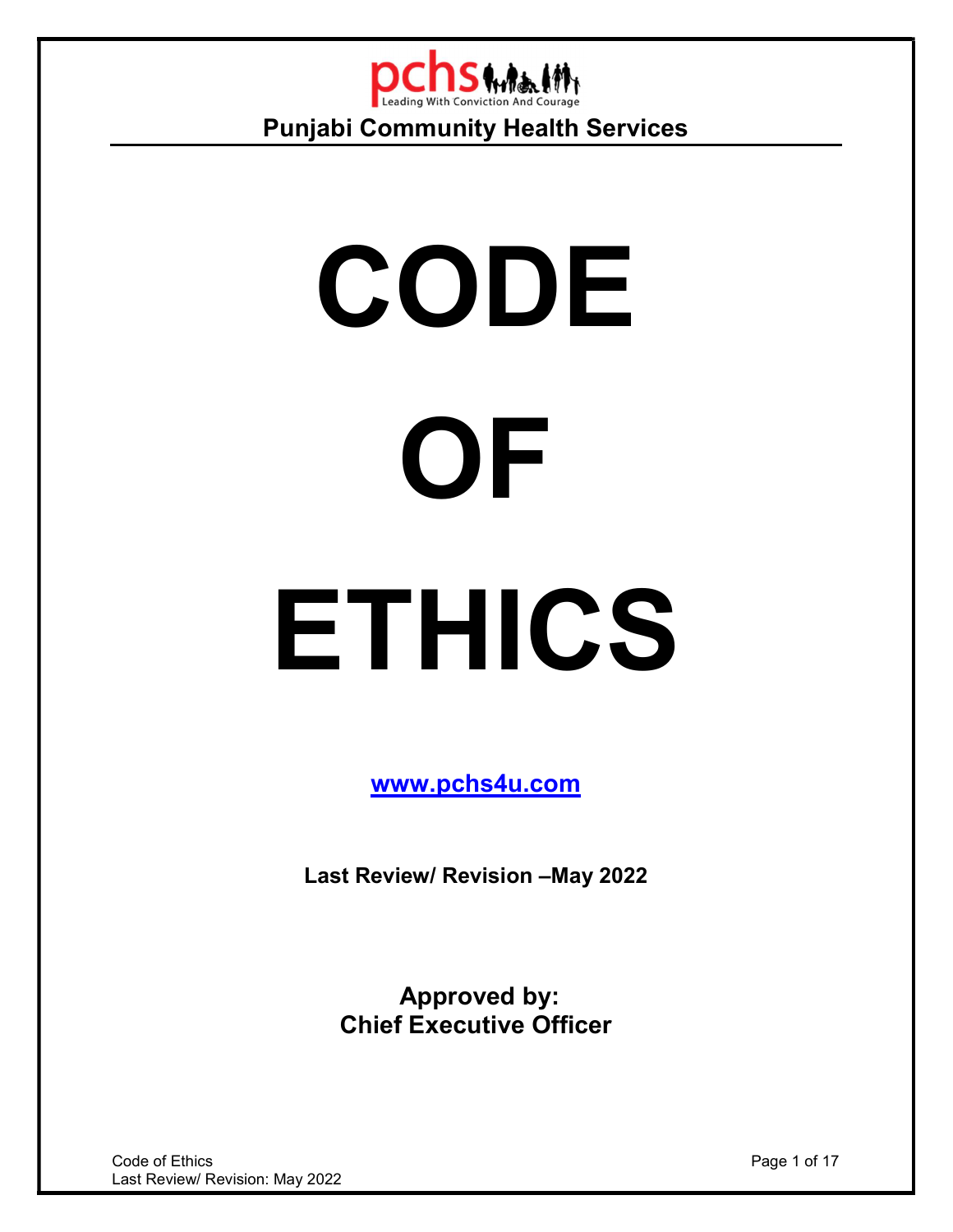

# CODE **OF** ETHICS

www.pchs4u.com

Last Review/ Revision –May 2022

 Approved by: Chief Executive Officer

**Code of Ethics** Page 1 of 17 Last Review/ Revision: May 2022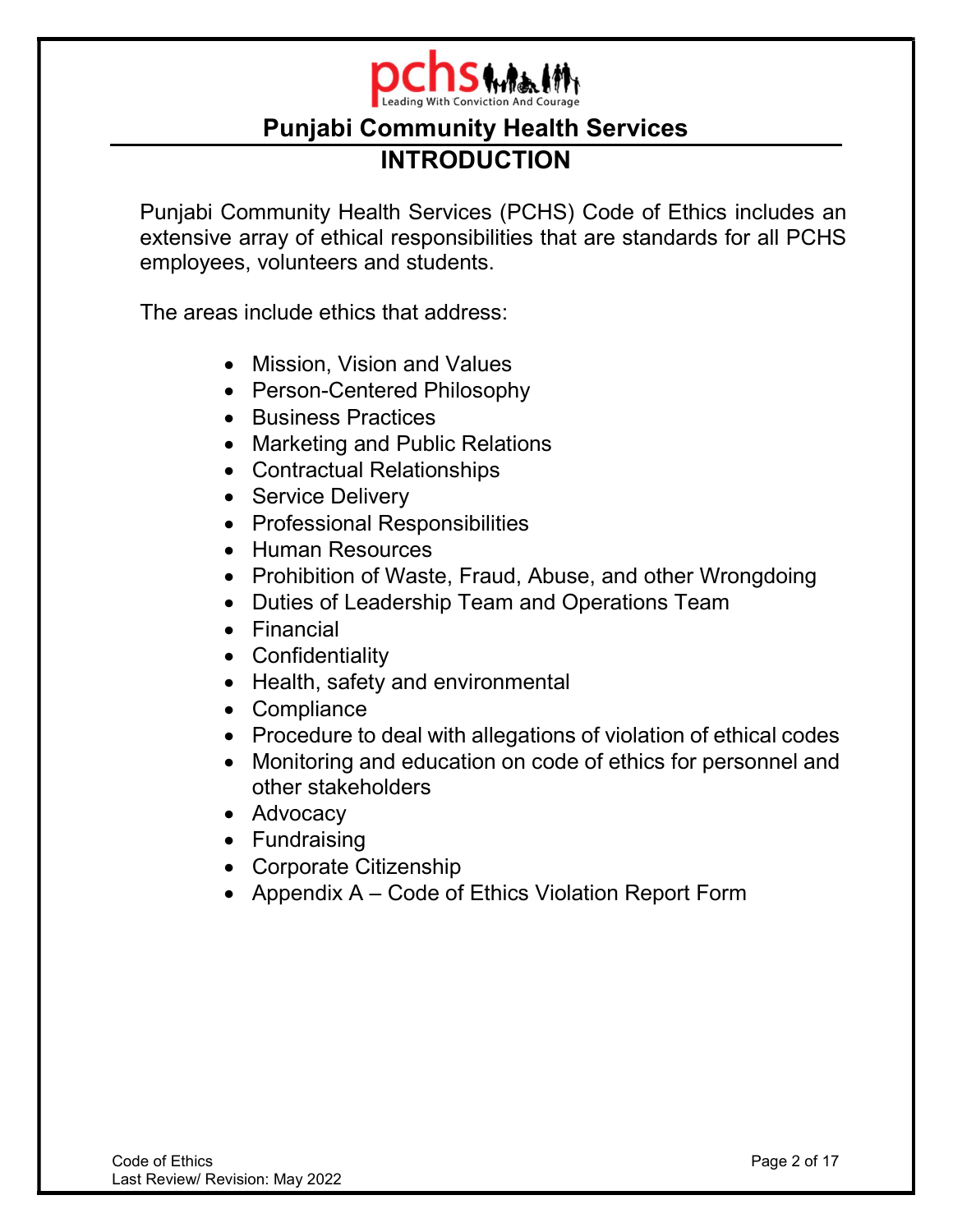

# Punjabi Community Health Services INTRODUCTION

Punjabi Community Health Services (PCHS) Code of Ethics includes an extensive array of ethical responsibilities that are standards for all PCHS employees, volunteers and students.

The areas include ethics that address:

- Mission, Vision and Values
- Person-Centered Philosophy
- Business Practices
- Marketing and Public Relations
- Contractual Relationships
- Service Delivery
- Professional Responsibilities
- Human Resources
- Prohibition of Waste, Fraud, Abuse, and other Wrongdoing
- Duties of Leadership Team and Operations Team
- Financial
- Confidentiality
- Health, safety and environmental
- Compliance
- Procedure to deal with allegations of violation of ethical codes
- Monitoring and education on code of ethics for personnel and other stakeholders
- Advocacy
- Fundraising
- Corporate Citizenship
- Appendix A Code of Ethics Violation Report Form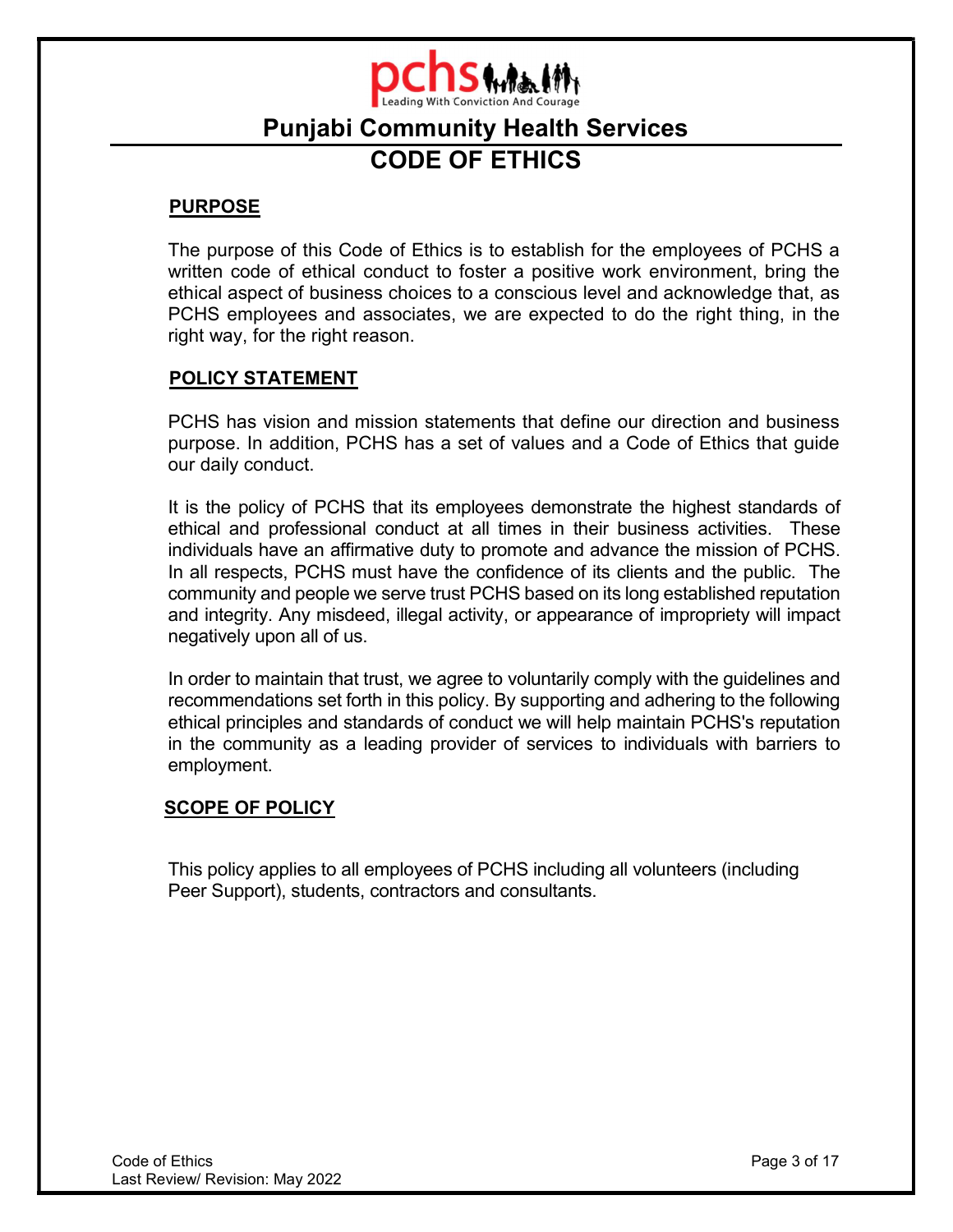

# Punjabi Community Health Services CODE OF ETHICS

### PURPOSE

The purpose of this Code of Ethics is to establish for the employees of PCHS a written code of ethical conduct to foster a positive work environment, bring the ethical aspect of business choices to a conscious level and acknowledge that, as PCHS employees and associates, we are expected to do the right thing, in the right way, for the right reason.

### POLICY STATEMENT

PCHS has vision and mission statements that define our direction and business purpose. In addition, PCHS has a set of values and a Code of Ethics that guide our daily conduct.

It is the policy of PCHS that its employees demonstrate the highest standards of ethical and professional conduct at all times in their business activities. These individuals have an affirmative duty to promote and advance the mission of PCHS. In all respects, PCHS must have the confidence of its clients and the public. The community and people we serve trust PCHS based on its long established reputation and integrity. Any misdeed, illegal activity, or appearance of impropriety will impact negatively upon all of us.

In order to maintain that trust, we agree to voluntarily comply with the guidelines and recommendations set forth in this policy. By supporting and adhering to the following ethical principles and standards of conduct we will help maintain PCHS's reputation in the community as a leading provider of services to individuals with barriers to employment.

# SCOPE OF POLICY

This policy applies to all employees of PCHS including all volunteers (including Peer Support), students, contractors and consultants.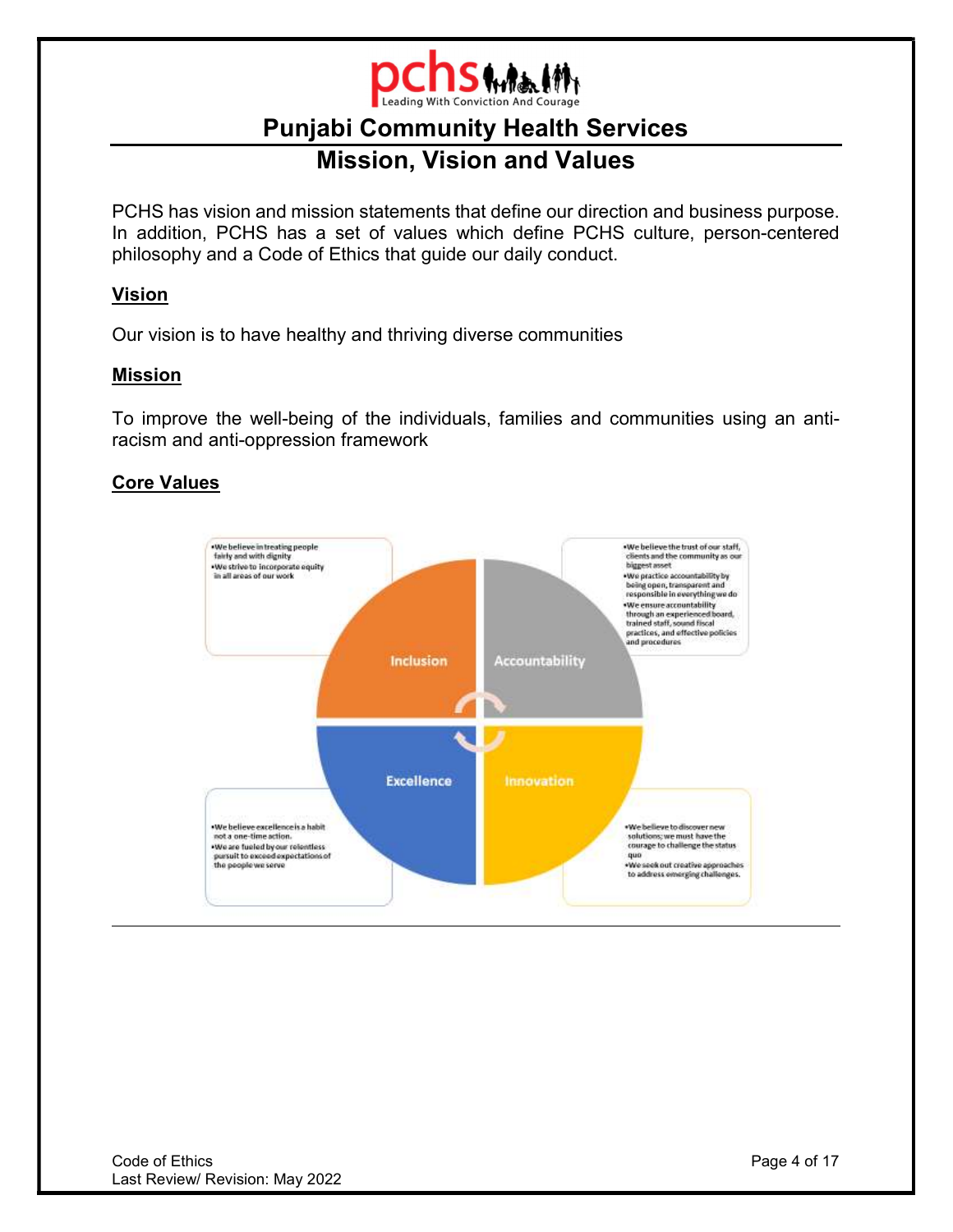

# **PULLIJ WIFERERT IN 1998** Mission, Vision and Values

PCHS has vision and mission statements that define our direction and business purpose. In addition, PCHS has a set of values which define PCHS culture, person-centered philosophy and a Code of Ethics that guide our daily conduct.

# Vision

Our vision is to have healthy and thriving diverse communities

# Mission

To improve the well-being of the individuals, families and communities using an antiracism and anti-oppression framework

# Core Values

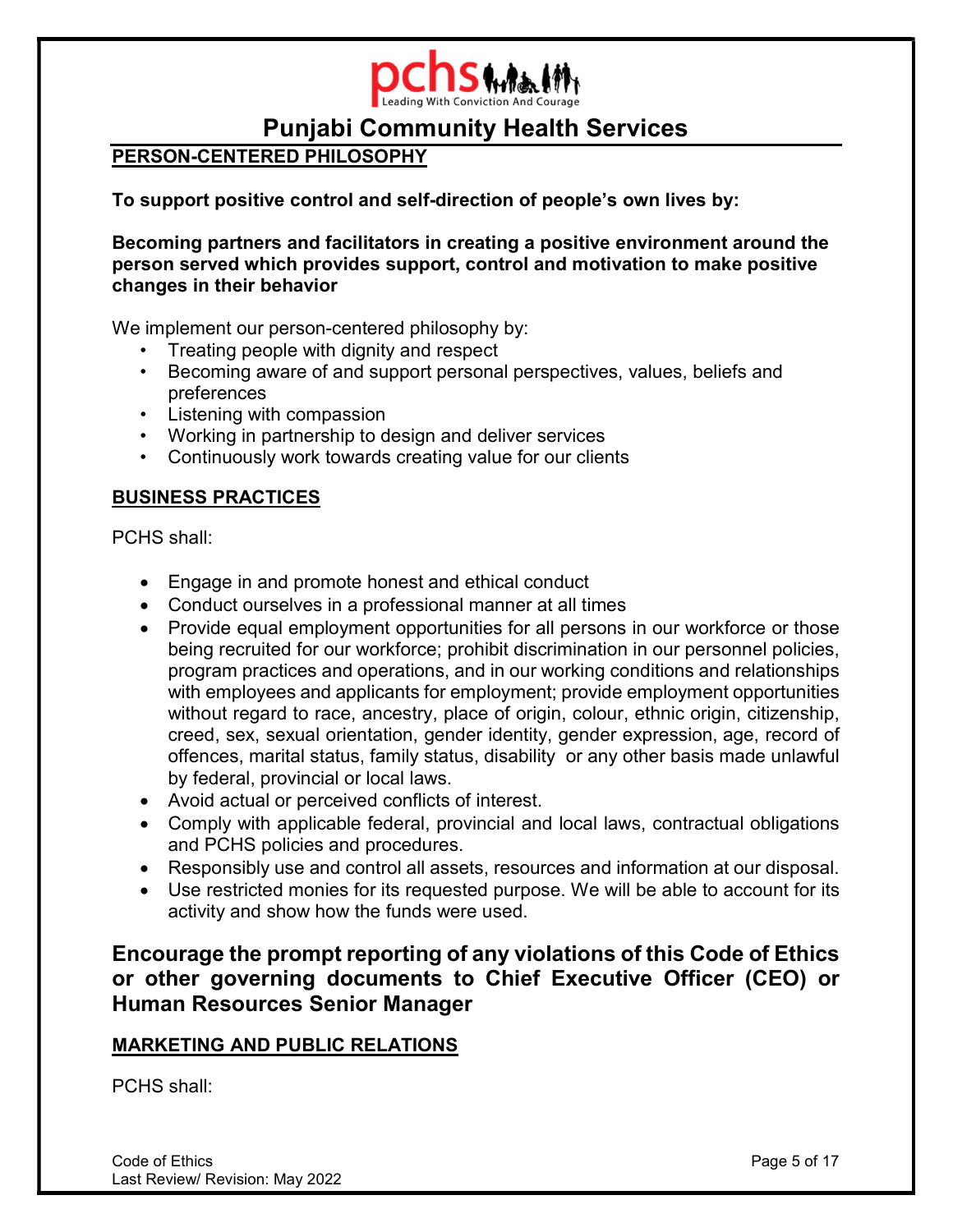

# PERSON-CENTERED PHILOSOPHY

To support positive control and self-direction of people's own lives by:

Becoming partners and facilitators in creating a positive environment around the person served which provides support, control and motivation to make positive changes in their behavior

We implement our person-centered philosophy by:

- Treating people with dignity and respect
- Becoming aware of and support personal perspectives, values, beliefs and preferences
- Listening with compassion
- Working in partnership to design and deliver services
- Continuously work towards creating value for our clients

# BUSINESS PRACTICES

PCHS shall:

- Engage in and promote honest and ethical conduct
- Conduct ourselves in a professional manner at all times
- Provide equal employment opportunities for all persons in our workforce or those being recruited for our workforce; prohibit discrimination in our personnel policies, program practices and operations, and in our working conditions and relationships with employees and applicants for employment; provide employment opportunities without regard to race, ancestry, place of origin, colour, ethnic origin, citizenship, creed, sex, sexual orientation, gender identity, gender expression, age, record of offences, marital status, family status, disability or any other basis made unlawful by federal, provincial or local laws.
- Avoid actual or perceived conflicts of interest.
- Comply with applicable federal, provincial and local laws, contractual obligations and PCHS policies and procedures.
- Responsibly use and control all assets, resources and information at our disposal.
- Use restricted monies for its requested purpose. We will be able to account for its activity and show how the funds were used.

Encourage the prompt reporting of any violations of this Code of Ethics or other governing documents to Chief Executive Officer (CEO) or Human Resources Senior Manager

# MARKETING AND PUBLIC RELATIONS

PCHS shall: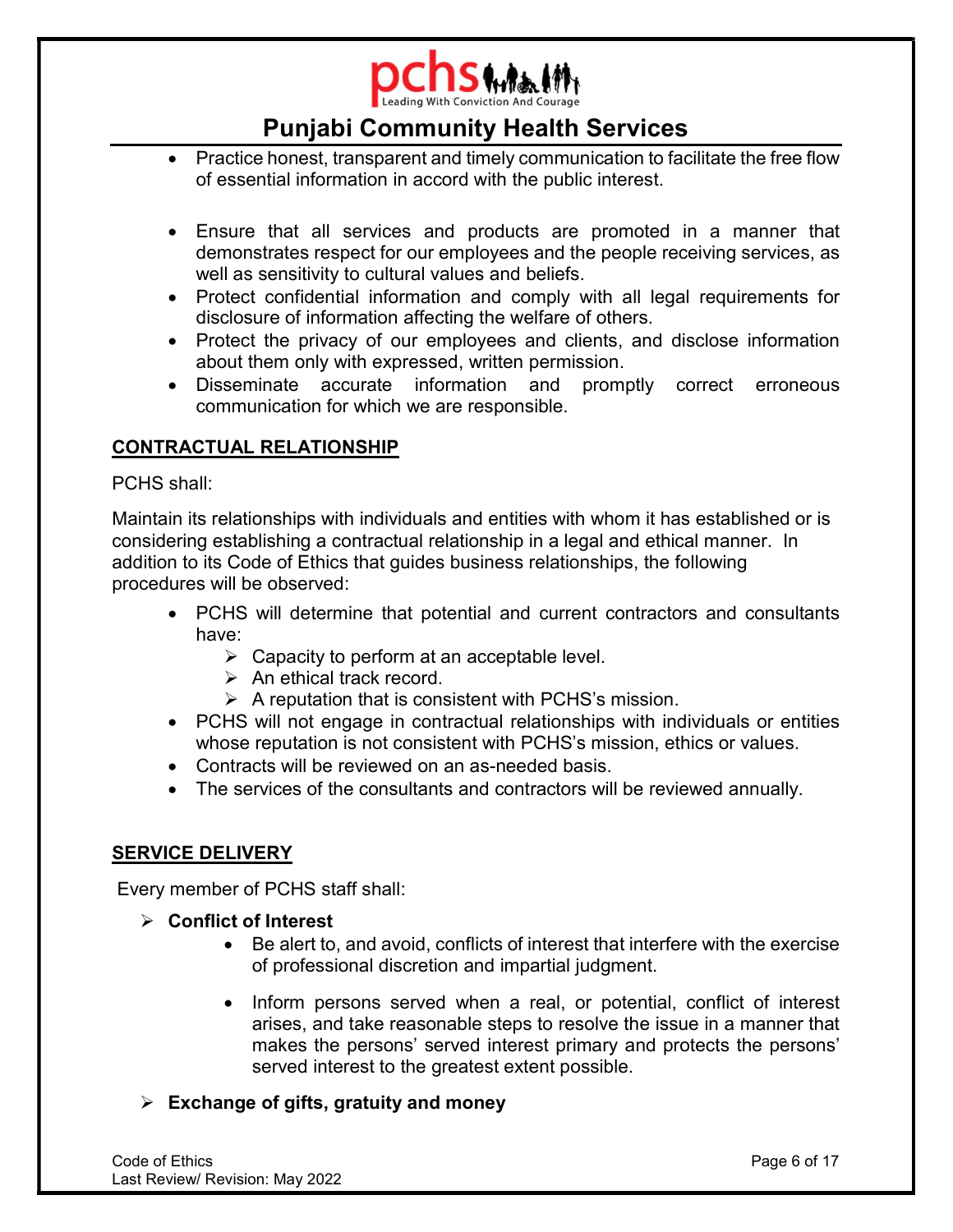

- Practice honest, transparent and timely communication to facilitate the free flow of essential information in accord with the public interest.
- Ensure that all services and products are promoted in a manner that demonstrates respect for our employees and the people receiving services, as well as sensitivity to cultural values and beliefs.
- Protect confidential information and comply with all legal requirements for disclosure of information affecting the welfare of others.
- Protect the privacy of our employees and clients, and disclose information about them only with expressed, written permission.
- Disseminate accurate information and promptly correct erroneous communication for which we are responsible.

# CONTRACTUAL RELATIONSHIP

PCHS shall:

Maintain its relationships with individuals and entities with whom it has established or is considering establishing a contractual relationship in a legal and ethical manner. In addition to its Code of Ethics that guides business relationships, the following procedures will be observed:

- PCHS will determine that potential and current contractors and consultants have:
	- $\triangleright$  Capacity to perform at an acceptable level.
	- $\triangleright$  An ethical track record.
	- $\triangleright$  A reputation that is consistent with PCHS's mission.
- PCHS will not engage in contractual relationships with individuals or entities whose reputation is not consistent with PCHS's mission, ethics or values.
- Contracts will be reviewed on an as-needed basis.
- The services of the consultants and contractors will be reviewed annually.

# SERVICE DELIVERY

Every member of PCHS staff shall:

- $\triangleright$  Conflict of Interest
	- Be alert to, and avoid, conflicts of interest that interfere with the exercise of professional discretion and impartial judgment.
	- Inform persons served when a real, or potential, conflict of interest arises, and take reasonable steps to resolve the issue in a manner that makes the persons' served interest primary and protects the persons' served interest to the greatest extent possible.
- $\triangleright$  Exchange of gifts, gratuity and money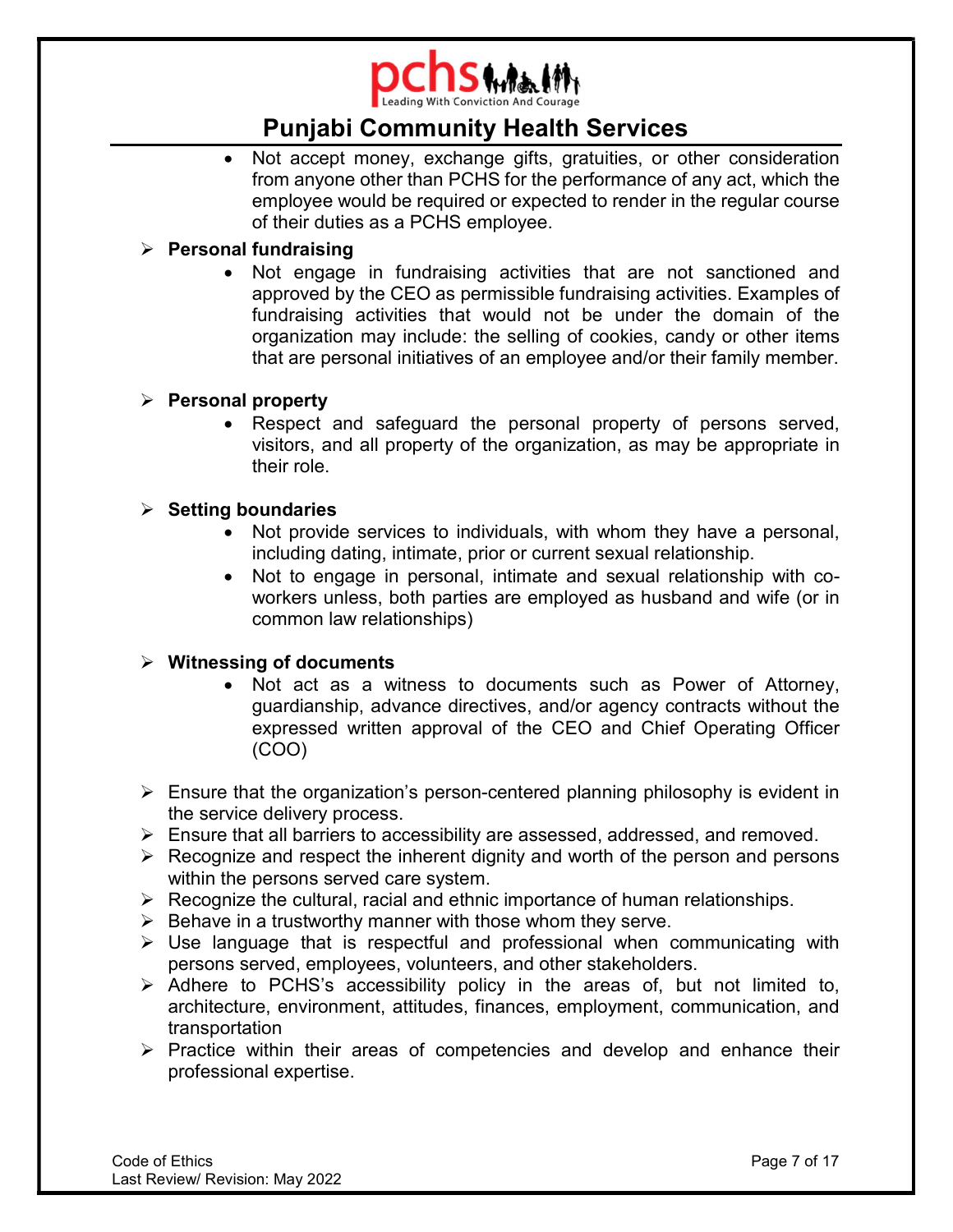

• Not accept money, exchange gifts, gratuities, or other consideration from anyone other than PCHS for the performance of any act, which the employee would be required or expected to render in the regular course of their duties as a PCHS employee.

### $\triangleright$  Personal fundraising

 Not engage in fundraising activities that are not sanctioned and approved by the CEO as permissible fundraising activities. Examples of fundraising activities that would not be under the domain of the organization may include: the selling of cookies, candy or other items that are personal initiatives of an employee and/or their family member.

# $\triangleright$  Personal property

• Respect and safeguard the personal property of persons served, visitors, and all property of the organization, as may be appropriate in their role.

### $\triangleright$  Setting boundaries

- Not provide services to individuals, with whom they have a personal, including dating, intimate, prior or current sexual relationship.
- Not to engage in personal, intimate and sexual relationship with coworkers unless, both parties are employed as husband and wife (or in common law relationships)

# $\triangleright$  Witnessing of documents

- Not act as a witness to documents such as Power of Attorney, guardianship, advance directives, and/or agency contracts without the expressed written approval of the CEO and Chief Operating Officer (COO)
- $\triangleright$  Ensure that the organization's person-centered planning philosophy is evident in the service delivery process.
- $\triangleright$  Ensure that all barriers to accessibility are assessed, addressed, and removed.
- $\triangleright$  Recognize and respect the inherent dignity and worth of the person and persons within the persons served care system.
- $\triangleright$  Recognize the cultural, racial and ethnic importance of human relationships.
- $\triangleright$  Behave in a trustworthy manner with those whom they serve.
- $\triangleright$  Use language that is respectful and professional when communicating with persons served, employees, volunteers, and other stakeholders.
- $\triangleright$  Adhere to PCHS's accessibility policy in the areas of, but not limited to, architecture, environment, attitudes, finances, employment, communication, and transportation
- $\triangleright$  Practice within their areas of competencies and develop and enhance their professional expertise.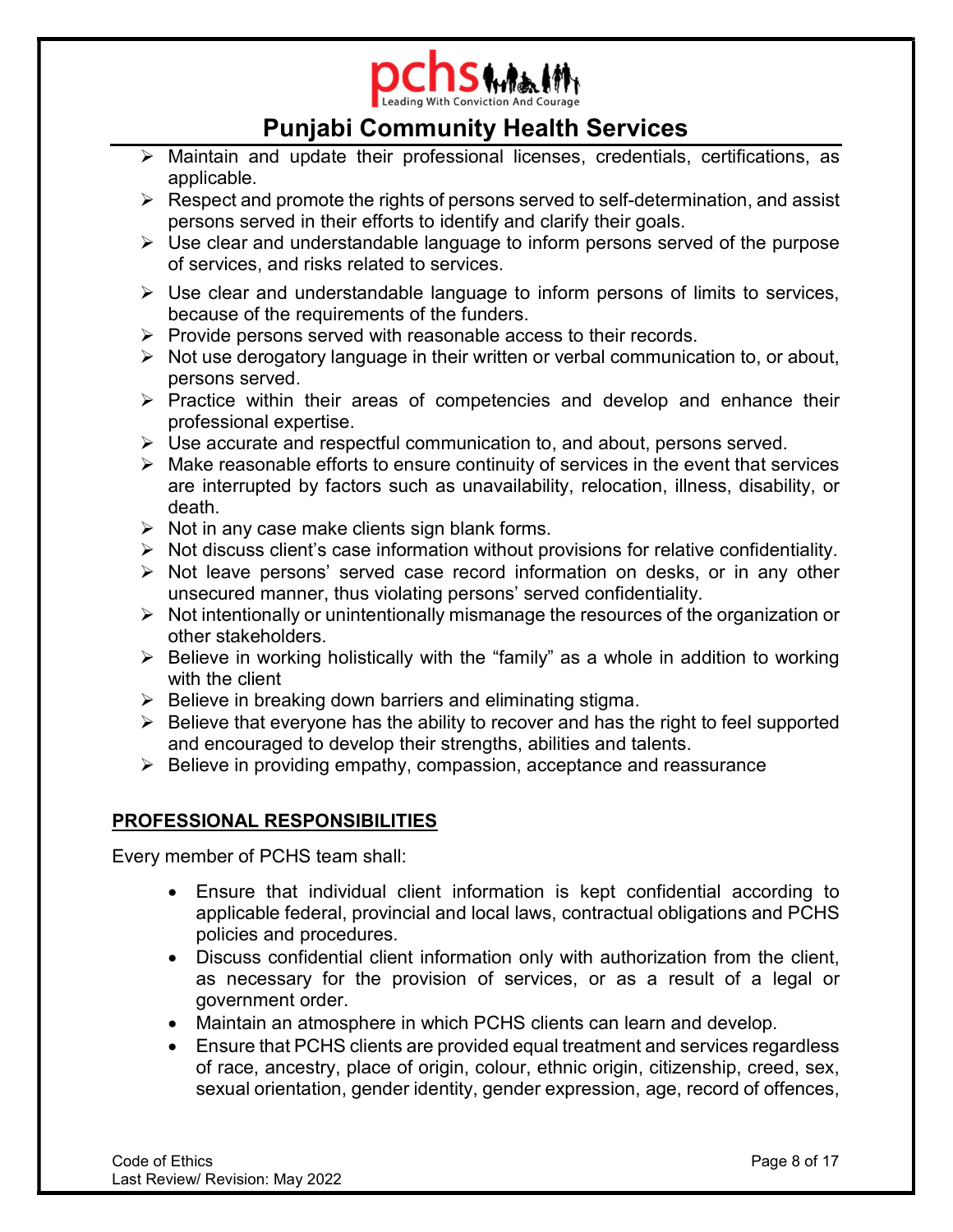

- $\triangleright$  Maintain and update their professional licenses, credentials, certifications, as applicable.
- $\triangleright$  Respect and promote the rights of persons served to self-determination, and assist persons served in their efforts to identify and clarify their goals.
- $\triangleright$  Use clear and understandable language to inform persons served of the purpose of services, and risks related to services.
- $\triangleright$  Use clear and understandable language to inform persons of limits to services, because of the requirements of the funders.
- $\triangleright$  Provide persons served with reasonable access to their records.
- $\triangleright$  Not use derogatory language in their written or verbal communication to, or about, persons served.
- $\triangleright$  Practice within their areas of competencies and develop and enhance their professional expertise.
- Use accurate and respectful communication to, and about, persons served.
- $\triangleright$  Make reasonable efforts to ensure continuity of services in the event that services are interrupted by factors such as unavailability, relocation, illness, disability, or death.
- $\triangleright$  Not in any case make clients sign blank forms.
- $\triangleright$  Not discuss client's case information without provisions for relative confidentiality.
- $\triangleright$  Not leave persons' served case record information on desks, or in any other unsecured manner, thus violating persons' served confidentiality.
- $\triangleright$  Not intentionally or unintentionally mismanage the resources of the organization or other stakeholders.
- $\triangleright$  Believe in working holistically with the "family" as a whole in addition to working with the client
- $\triangleright$  Believe in breaking down barriers and eliminating stigma.
- $\triangleright$  Believe that everyone has the ability to recover and has the right to feel supported and encouraged to develop their strengths, abilities and talents.
- $\triangleright$  Believe in providing empathy, compassion, acceptance and reassurance

# PROFESSIONAL RESPONSIBILITIES

Every member of PCHS team shall:

- Ensure that individual client information is kept confidential according to applicable federal, provincial and local laws, contractual obligations and PCHS policies and procedures.
- Discuss confidential client information only with authorization from the client, as necessary for the provision of services, or as a result of a legal or government order.
- Maintain an atmosphere in which PCHS clients can learn and develop.
- Ensure that PCHS clients are provided equal treatment and services regardless of race, ancestry, place of origin, colour, ethnic origin, citizenship, creed, sex, sexual orientation, gender identity, gender expression, age, record of offences,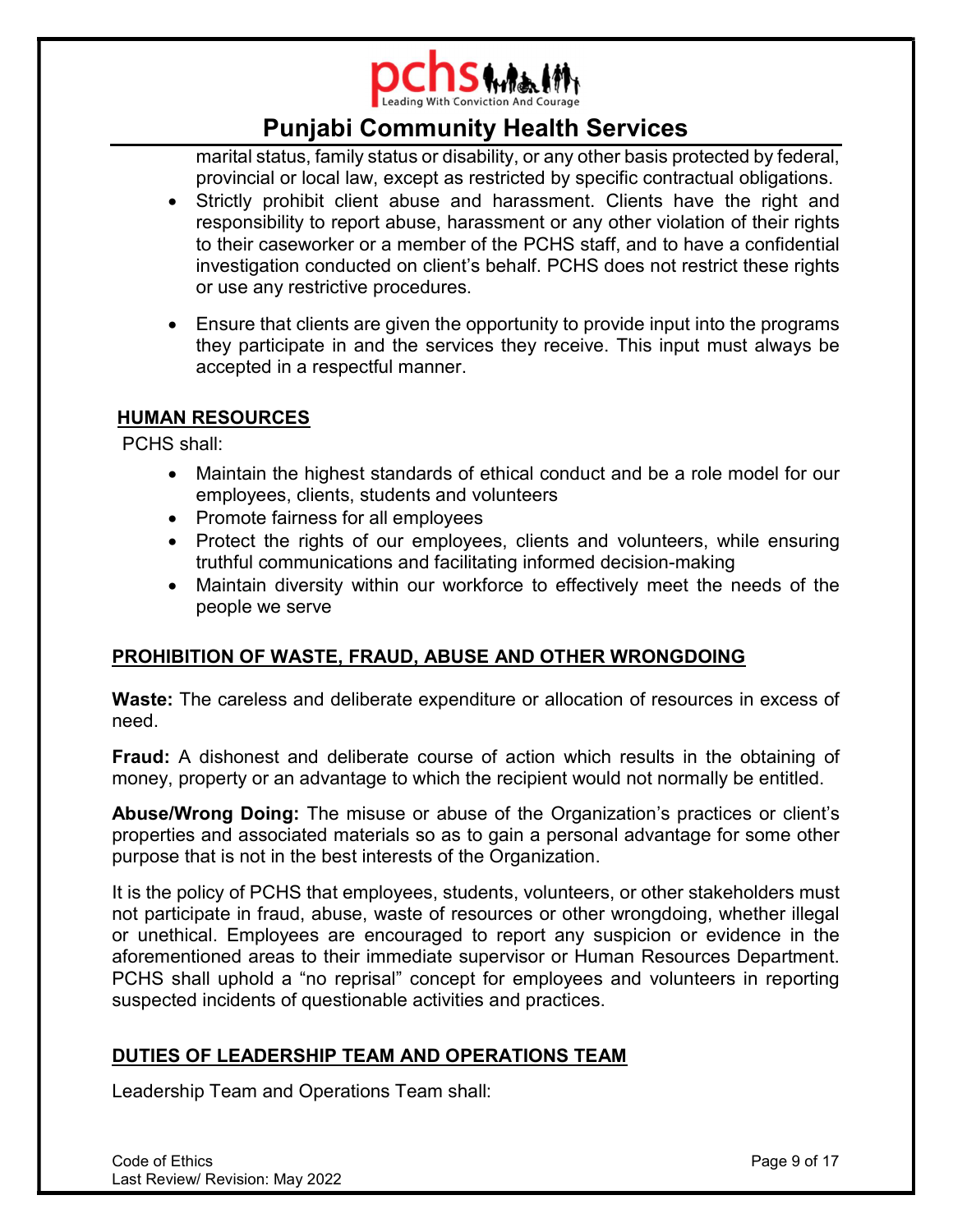

marital status, family status or disability, or any other basis protected by federal, provincial or local law, except as restricted by specific contractual obligations.

- Strictly prohibit client abuse and harassment. Clients have the right and responsibility to report abuse, harassment or any other violation of their rights to their caseworker or a member of the PCHS staff, and to have a confidential investigation conducted on client's behalf. PCHS does not restrict these rights or use any restrictive procedures.
- Ensure that clients are given the opportunity to provide input into the programs they participate in and the services they receive. This input must always be accepted in a respectful manner.

# HUMAN RESOURCES

PCHS shall:

- Maintain the highest standards of ethical conduct and be a role model for our employees, clients, students and volunteers
- Promote fairness for all employees
- Protect the rights of our employees, clients and volunteers, while ensuring truthful communications and facilitating informed decision-making
- Maintain diversity within our workforce to effectively meet the needs of the people we serve

# PROHIBITION OF WASTE, FRAUD, ABUSE AND OTHER WRONGDOING

Waste: The careless and deliberate expenditure or allocation of resources in excess of need.

Fraud: A dishonest and deliberate course of action which results in the obtaining of money, property or an advantage to which the recipient would not normally be entitled.

Abuse/Wrong Doing: The misuse or abuse of the Organization's practices or client's properties and associated materials so as to gain a personal advantage for some other purpose that is not in the best interests of the Organization.

It is the policy of PCHS that employees, students, volunteers, or other stakeholders must not participate in fraud, abuse, waste of resources or other wrongdoing, whether illegal or unethical. Employees are encouraged to report any suspicion or evidence in the aforementioned areas to their immediate supervisor or Human Resources Department. PCHS shall uphold a "no reprisal" concept for employees and volunteers in reporting suspected incidents of questionable activities and practices.

# DUTIES OF LEADERSHIP TEAM AND OPERATIONS TEAM

Leadership Team and Operations Team shall: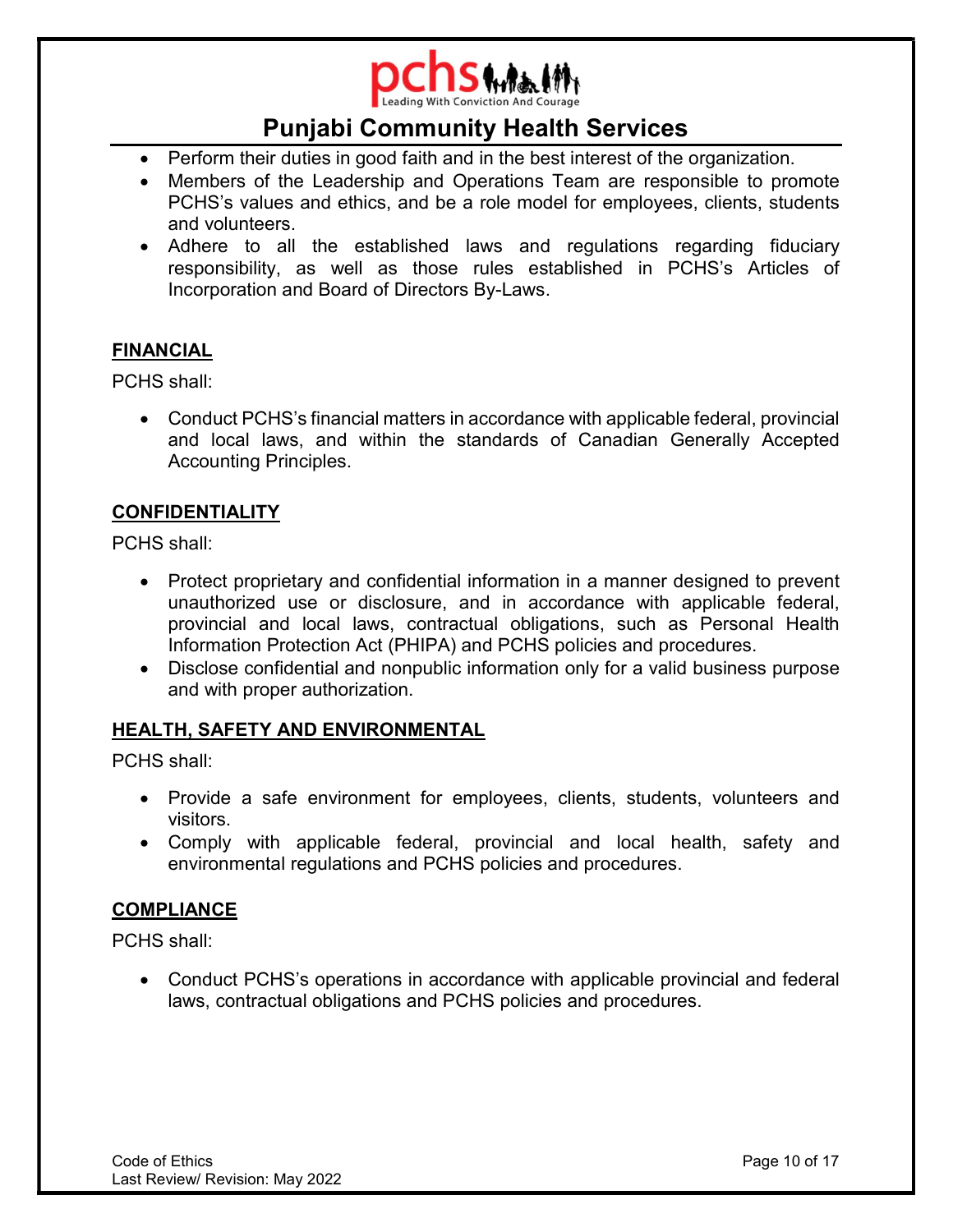

- Perform their duties in good faith and in the best interest of the organization.
- Members of the Leadership and Operations Team are responsible to promote PCHS's values and ethics, and be a role model for employees, clients, students and volunteers.
- Adhere to all the established laws and regulations regarding fiduciary responsibility, as well as those rules established in PCHS's Articles of Incorporation and Board of Directors By-Laws.

# **FINANCIAL**

PCHS shall:

 Conduct PCHS's financial matters in accordance with applicable federal, provincial and local laws, and within the standards of Canadian Generally Accepted Accounting Principles.

# CONFIDENTIALITY

PCHS shall:

- Protect proprietary and confidential information in a manner designed to prevent unauthorized use or disclosure, and in accordance with applicable federal, provincial and local laws, contractual obligations, such as Personal Health Information Protection Act (PHIPA) and PCHS policies and procedures.
- Disclose confidential and nonpublic information only for a valid business purpose and with proper authorization.

# HEALTH, SAFETY AND ENVIRONMENTAL

PCHS shall:

- Provide a safe environment for employees, clients, students, volunteers and visitors.
- Comply with applicable federal, provincial and local health, safety and environmental regulations and PCHS policies and procedures.

# **COMPLIANCE**

PCHS shall:

 Conduct PCHS's operations in accordance with applicable provincial and federal laws, contractual obligations and PCHS policies and procedures.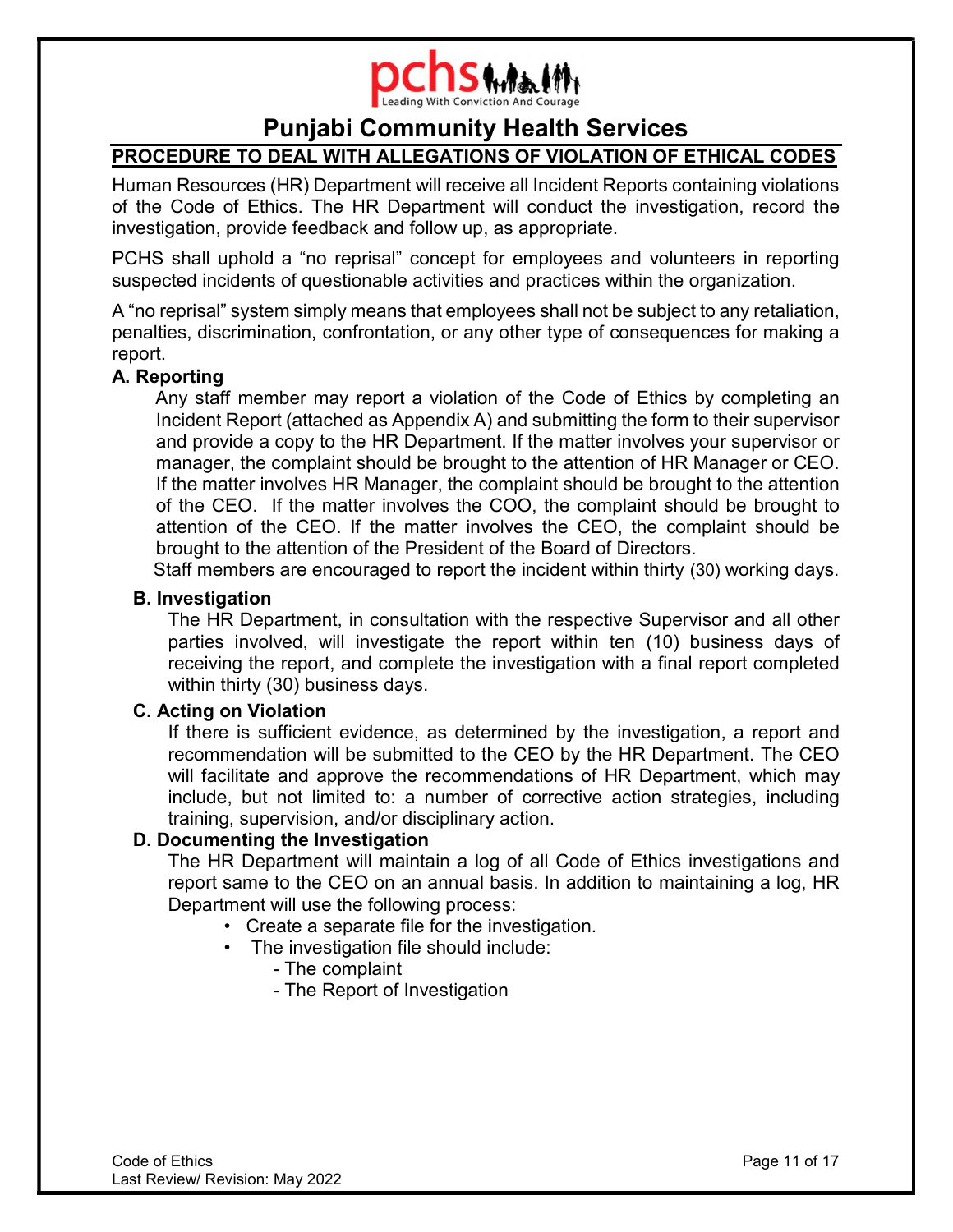

# PROCEDURE TO DEAL WITH ALLEGATIONS OF VIOLATION OF ETHICAL CODES

Human Resources (HR) Department will receive all Incident Reports containing violations of the Code of Ethics. The HR Department will conduct the investigation, record the investigation, provide feedback and follow up, as appropriate.

PCHS shall uphold a "no reprisal" concept for employees and volunteers in reporting suspected incidents of questionable activities and practices within the organization.

A "no reprisal" system simply means that employees shall not be subject to any retaliation, penalties, discrimination, confrontation, or any other type of consequences for making a report.

### A. Reporting

 Any staff member may report a violation of the Code of Ethics by completing an Incident Report (attached as Appendix A) and submitting the form to their supervisor and provide a copy to the HR Department. If the matter involves your supervisor or manager, the complaint should be brought to the attention of HR Manager or CEO. If the matter involves HR Manager, the complaint should be brought to the attention of the CEO. If the matter involves the COO, the complaint should be brought to attention of the CEO. If the matter involves the CEO, the complaint should be brought to the attention of the President of the Board of Directors.

Staff members are encouraged to report the incident within thirty (30) working days.

### B. Investigation

The HR Department, in consultation with the respective Supervisor and all other parties involved, will investigate the report within ten (10) business days of receiving the report, and complete the investigation with a final report completed within thirty (30) business days.

### C. Acting on Violation

If there is sufficient evidence, as determined by the investigation, a report and recommendation will be submitted to the CEO by the HR Department. The CEO will facilitate and approve the recommendations of HR Department, which may include, but not limited to: a number of corrective action strategies, including training, supervision, and/or disciplinary action.

# D. Documenting the Investigation

The HR Department will maintain a log of all Code of Ethics investigations and report same to the CEO on an annual basis. In addition to maintaining a log, HR Department will use the following process:

- Create a separate file for the investigation.
- The investigation file should include:
	- The complaint
	- The Report of Investigation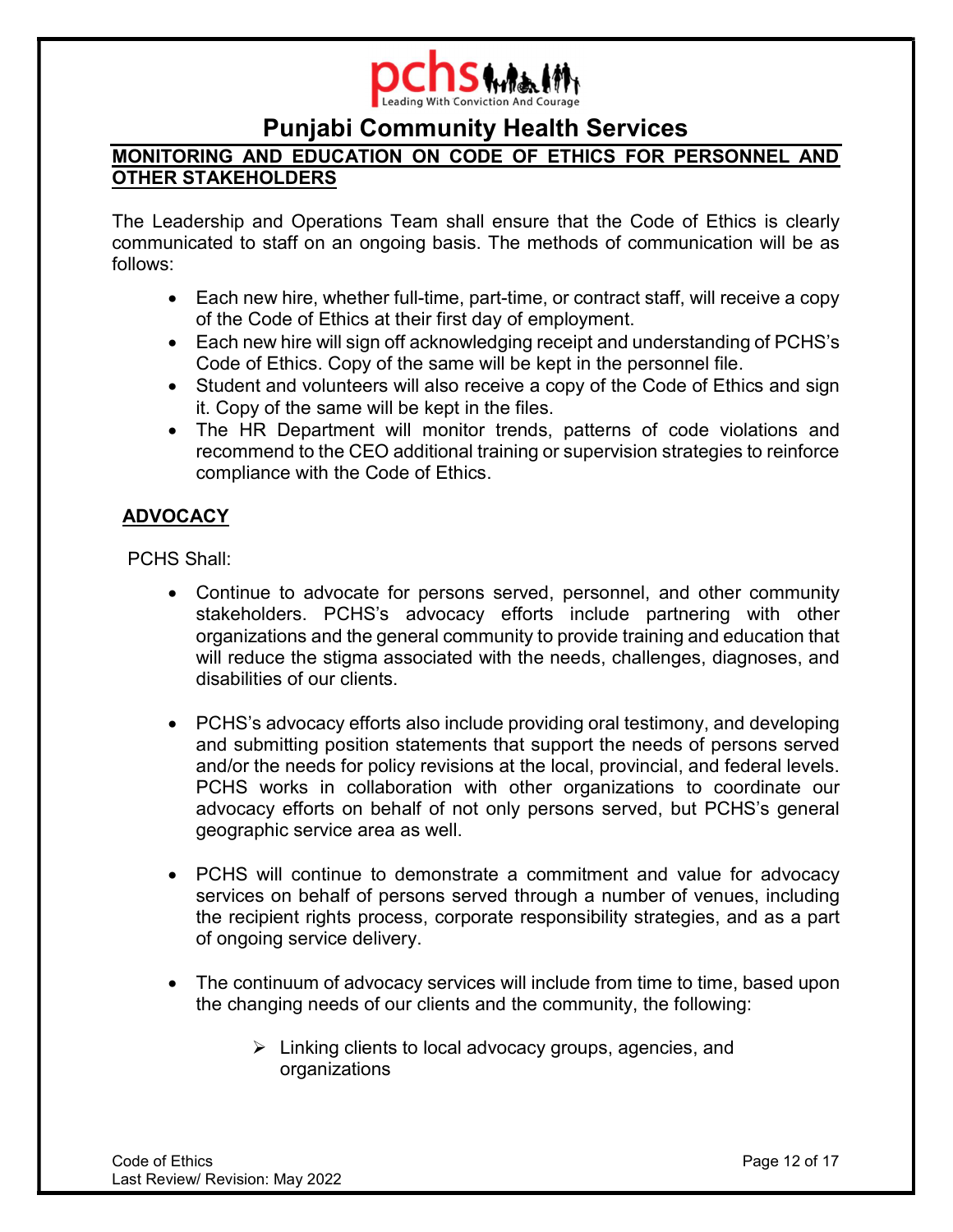

# MONITORING AND EDUCATION ON CODE OF ETHICS FOR PERSONNEL AND OTHER STAKEHOLDERS

The Leadership and Operations Team shall ensure that the Code of Ethics is clearly communicated to staff on an ongoing basis. The methods of communication will be as follows:

- Each new hire, whether full-time, part-time, or contract staff, will receive a copy of the Code of Ethics at their first day of employment.
- Each new hire will sign off acknowledging receipt and understanding of PCHS's Code of Ethics. Copy of the same will be kept in the personnel file.
- Student and volunteers will also receive a copy of the Code of Ethics and sign it. Copy of the same will be kept in the files.
- The HR Department will monitor trends, patterns of code violations and recommend to the CEO additional training or supervision strategies to reinforce compliance with the Code of Ethics.

# ADVOCACY

PCHS Shall:

- Continue to advocate for persons served, personnel, and other community stakeholders. PCHS's advocacy efforts include partnering with other organizations and the general community to provide training and education that will reduce the stigma associated with the needs, challenges, diagnoses, and disabilities of our clients.
- PCHS's advocacy efforts also include providing oral testimony, and developing and submitting position statements that support the needs of persons served and/or the needs for policy revisions at the local, provincial, and federal levels. PCHS works in collaboration with other organizations to coordinate our advocacy efforts on behalf of not only persons served, but PCHS's general geographic service area as well.
- PCHS will continue to demonstrate a commitment and value for advocacy services on behalf of persons served through a number of venues, including the recipient rights process, corporate responsibility strategies, and as a part of ongoing service delivery.
- The continuum of advocacy services will include from time to time, based upon the changing needs of our clients and the community, the following:
	- $\triangleright$  Linking clients to local advocacy groups, agencies, and organizations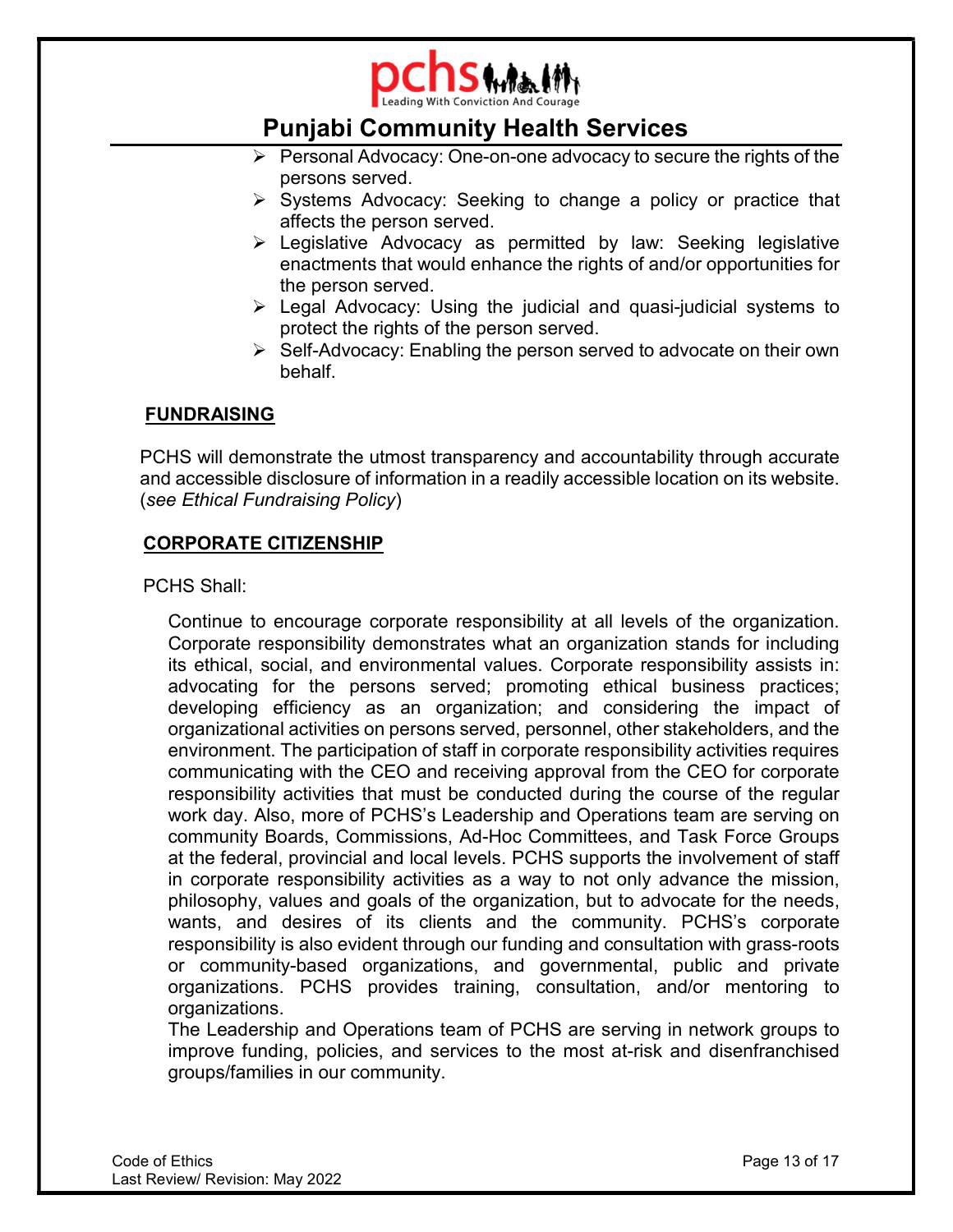

- $\triangleright$  Personal Advocacy: One-on-one advocacy to secure the rights of the persons served.
- $\triangleright$  Systems Advocacy: Seeking to change a policy or practice that affects the person served.
- Legislative Advocacy as permitted by law: Seeking legislative enactments that would enhance the rights of and/or opportunities for the person served.
- Legal Advocacy: Using the judicial and quasi-judicial systems to protect the rights of the person served.
- $\triangleright$  Self-Advocacy: Enabling the person served to advocate on their own behalf.

# FUNDRAISING

PCHS will demonstrate the utmost transparency and accountability through accurate and accessible disclosure of information in a readily accessible location on its website. (see Ethical Fundraising Policy)

# CORPORATE CITIZENSHIP

PCHS Shall:

Continue to encourage corporate responsibility at all levels of the organization. Corporate responsibility demonstrates what an organization stands for including its ethical, social, and environmental values. Corporate responsibility assists in: advocating for the persons served; promoting ethical business practices; developing efficiency as an organization; and considering the impact of organizational activities on persons served, personnel, other stakeholders, and the environment. The participation of staff in corporate responsibility activities requires communicating with the CEO and receiving approval from the CEO for corporate responsibility activities that must be conducted during the course of the regular work day. Also, more of PCHS's Leadership and Operations team are serving on community Boards, Commissions, Ad-Hoc Committees, and Task Force Groups at the federal, provincial and local levels. PCHS supports the involvement of staff in corporate responsibility activities as a way to not only advance the mission, philosophy, values and goals of the organization, but to advocate for the needs, wants, and desires of its clients and the community. PCHS's corporate responsibility is also evident through our funding and consultation with grass-roots or community-based organizations, and governmental, public and private organizations. PCHS provides training, consultation, and/or mentoring to organizations.

The Leadership and Operations team of PCHS are serving in network groups to improve funding, policies, and services to the most at-risk and disenfranchised groups/families in our community.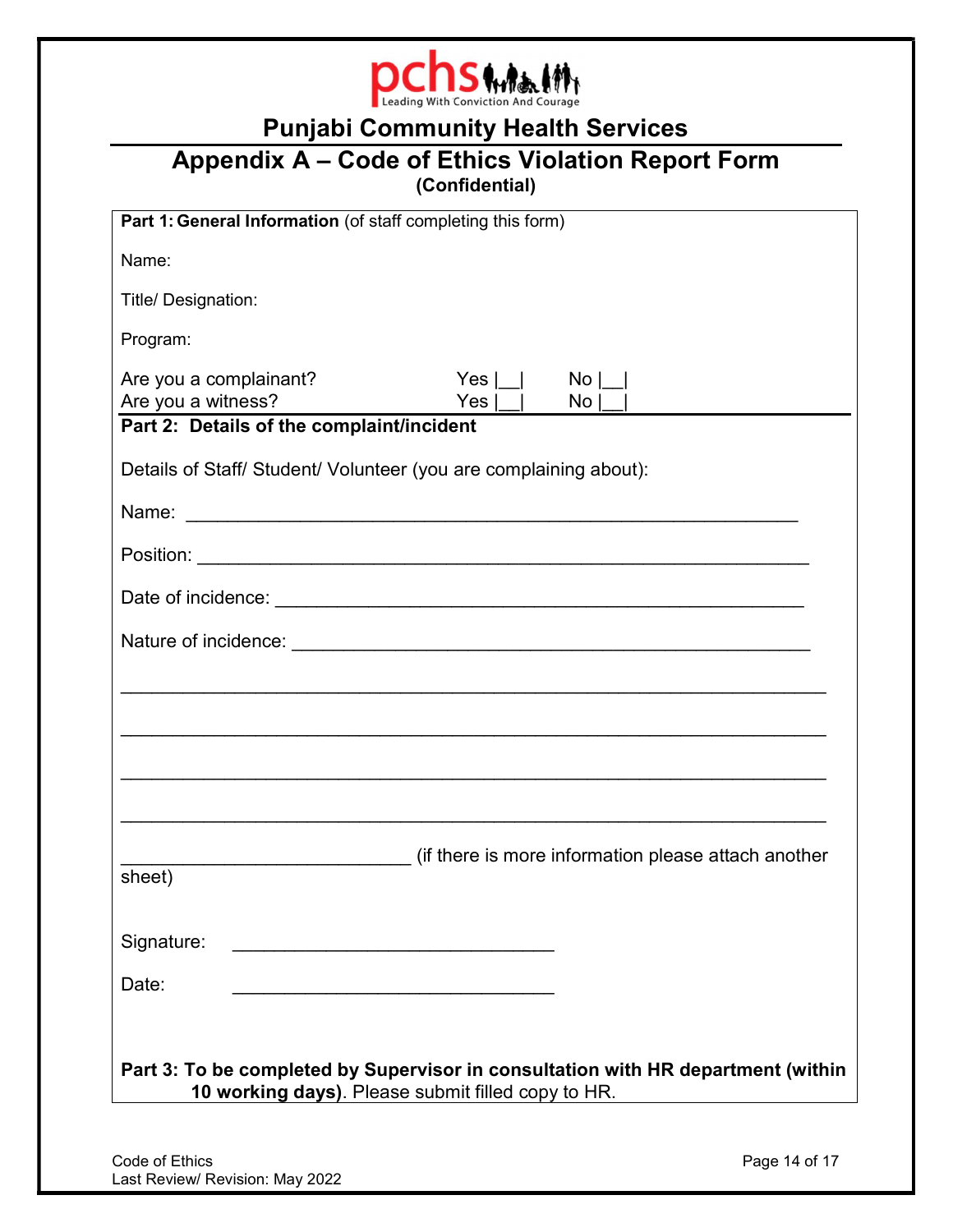

# Appendix A – Code of Ethics Violation Report Form (Confidential)

| Part 1: General Information (of staff completing this form)                                                                                    |
|------------------------------------------------------------------------------------------------------------------------------------------------|
| Name:                                                                                                                                          |
| Title/ Designation:                                                                                                                            |
| Program:                                                                                                                                       |
| Are you a complainant?<br>Yes I<br>$\mathsf{No}$  <br>Are you a witness?<br>Yes  <br>$No$ $\vert$<br>Part 2: Details of the complaint/incident |
|                                                                                                                                                |
| Details of Staff/ Student/ Volunteer (you are complaining about):                                                                              |
|                                                                                                                                                |
|                                                                                                                                                |
|                                                                                                                                                |
|                                                                                                                                                |
|                                                                                                                                                |
|                                                                                                                                                |
|                                                                                                                                                |
| <u> 1990 - 1991 - 1992 - 1993 - 1994 - 1995 - 1996 - 1997 - 1998 - 1999 - 1999 - 1999 - 1999 - 1999 - 1999 - 199</u>                           |
|                                                                                                                                                |
| (if there is more information please attach another<br>sheet)                                                                                  |
|                                                                                                                                                |
| Signature:<br><u> 1989 - Johann John Stone, mars eta bainar eta industrial eta erromania eta erromania eta erromania eta erroman</u>           |
| Date:                                                                                                                                          |
|                                                                                                                                                |
| Part 3: To be completed by Supervisor in consultation with HR department (within<br>10 working days). Please submit filled copy to HR.         |
|                                                                                                                                                |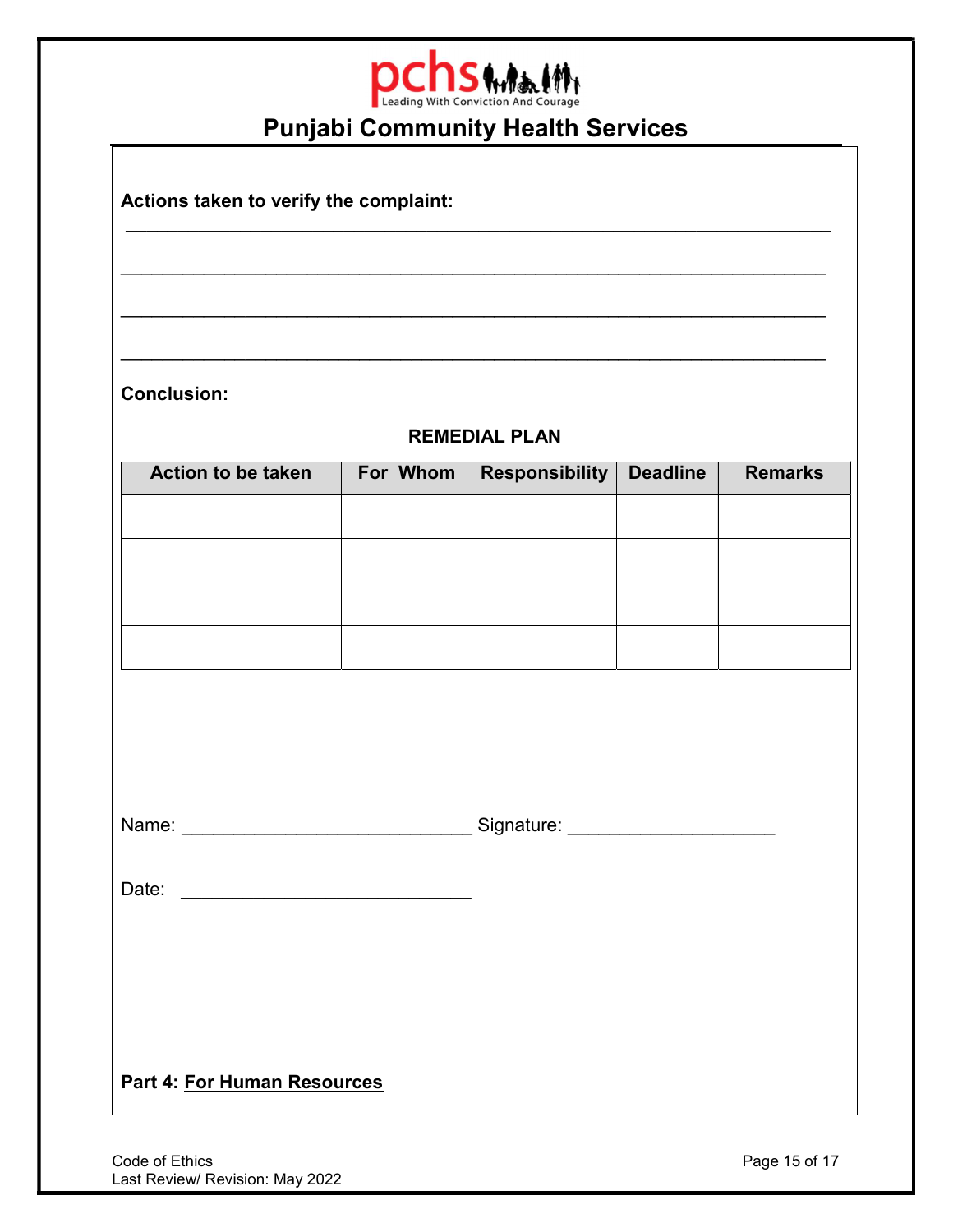

\_\_\_\_\_\_\_\_\_\_\_\_\_\_\_\_\_\_\_\_\_\_\_\_\_\_\_\_\_\_\_\_\_\_\_\_\_\_\_\_\_\_\_\_\_\_\_\_\_\_\_\_\_\_\_\_\_\_\_\_\_\_\_\_\_\_\_\_

\_\_\_\_\_\_\_\_\_\_\_\_\_\_\_\_\_\_\_\_\_\_\_\_\_\_\_\_\_\_\_\_\_\_\_\_\_\_\_\_\_\_\_\_\_\_\_\_\_\_\_\_\_\_\_\_\_\_\_\_\_\_\_\_\_\_\_\_

 $\mathcal{L}_\mathcal{L} = \{ \mathcal{L}_\mathcal{L} = \{ \mathcal{L}_\mathcal{L} = \{ \mathcal{L}_\mathcal{L} = \{ \mathcal{L}_\mathcal{L} = \{ \mathcal{L}_\mathcal{L} = \{ \mathcal{L}_\mathcal{L} = \{ \mathcal{L}_\mathcal{L} = \{ \mathcal{L}_\mathcal{L} = \{ \mathcal{L}_\mathcal{L} = \{ \mathcal{L}_\mathcal{L} = \{ \mathcal{L}_\mathcal{L} = \{ \mathcal{L}_\mathcal{L} = \{ \mathcal{L}_\mathcal{L} = \{ \mathcal{L}_\mathcal{$ 

Actions taken to verify the complaint:

Conclusion:

# REMEDIAL PLAN

\_\_\_\_\_\_\_\_\_\_\_\_\_\_\_\_\_\_\_\_\_\_\_\_\_\_\_\_\_\_\_\_\_\_\_\_\_\_\_\_\_\_\_\_\_\_\_\_\_\_\_\_\_\_\_\_\_\_\_\_\_\_\_\_\_\_\_\_

| <b>Action to be taken</b> | For Whom | <b>Responsibility</b> | <b>Deadline</b> | <b>Remarks</b> |
|---------------------------|----------|-----------------------|-----------------|----------------|
|                           |          |                       |                 |                |
|                           |          |                       |                 |                |
|                           |          |                       |                 |                |
|                           |          |                       |                 |                |

Name: \_\_\_\_\_\_\_\_\_\_\_\_\_\_\_\_\_\_\_\_\_\_\_\_\_\_\_\_ Signature: \_\_\_\_\_\_\_\_\_\_\_\_\_\_\_\_\_\_\_\_

Date: \_\_\_\_\_\_\_\_\_\_\_\_\_\_\_\_\_\_\_\_\_\_\_\_\_\_\_\_

Part 4: For Human Resources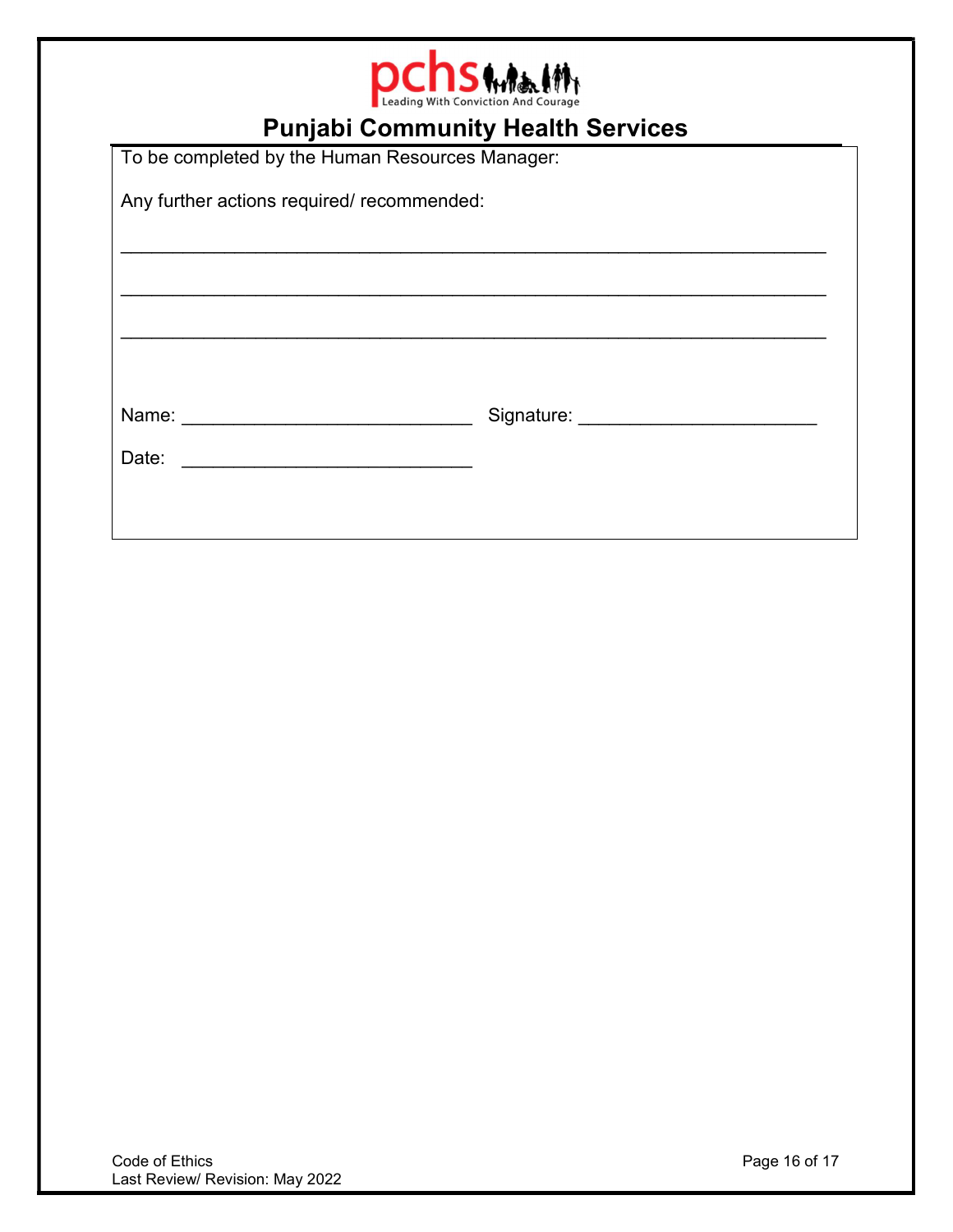

To be completed by the Human Resources Manager: Any further actions required/ recommended: \_\_\_\_\_\_\_\_\_\_\_\_\_\_\_\_\_\_\_\_\_\_\_\_\_\_\_\_\_\_\_\_\_\_\_\_\_\_\_\_\_\_\_\_\_\_\_\_\_\_\_\_\_\_\_\_\_\_\_\_\_\_\_\_\_\_\_\_  $\mathcal{L}_\mathcal{L} = \{ \mathcal{L}_\mathcal{L} = \{ \mathcal{L}_\mathcal{L} = \{ \mathcal{L}_\mathcal{L} = \{ \mathcal{L}_\mathcal{L} = \{ \mathcal{L}_\mathcal{L} = \{ \mathcal{L}_\mathcal{L} = \{ \mathcal{L}_\mathcal{L} = \{ \mathcal{L}_\mathcal{L} = \{ \mathcal{L}_\mathcal{L} = \{ \mathcal{L}_\mathcal{L} = \{ \mathcal{L}_\mathcal{L} = \{ \mathcal{L}_\mathcal{L} = \{ \mathcal{L}_\mathcal{L} = \{ \mathcal{L}_\mathcal{$ Name: \_\_\_\_\_\_\_\_\_\_\_\_\_\_\_\_\_\_\_\_\_\_\_\_\_\_\_\_ Signature: \_\_\_\_\_\_\_\_\_\_\_\_\_\_\_\_\_\_\_\_\_\_\_ Date: \_\_\_\_\_\_\_\_\_\_\_\_\_\_\_\_\_\_\_\_\_\_\_\_\_\_\_\_